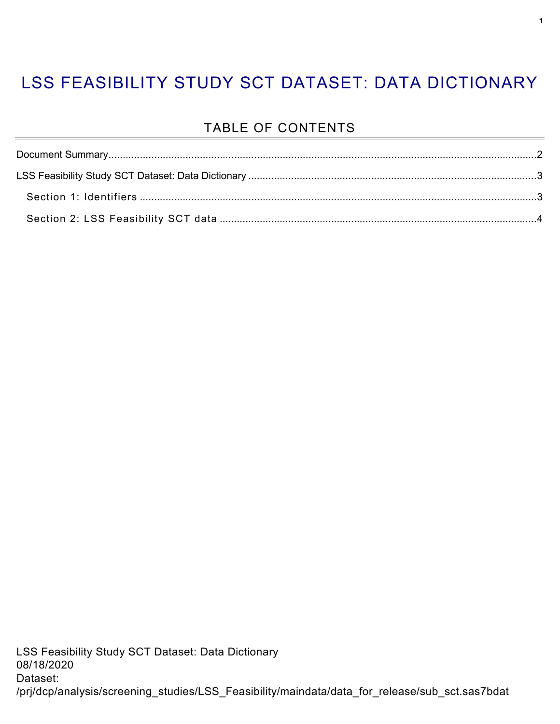### LSS FEASIBILITY STUDY SCT DATASET: DATA DICTIONARY

#### TABLE OF CONTENTS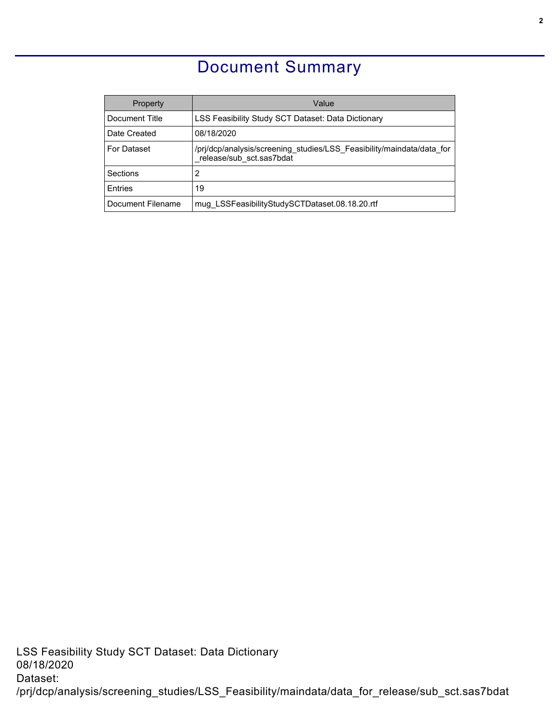#### Document Summary

<span id="page-1-0"></span>

| Property           | Value                                                                                             |  |  |
|--------------------|---------------------------------------------------------------------------------------------------|--|--|
| Document Title     | LSS Feasibility Study SCT Dataset: Data Dictionary                                                |  |  |
| Date Created       | 08/18/2020                                                                                        |  |  |
| <b>For Dataset</b> | /pri/dcp/analysis/screening studies/LSS Feasibility/maindata/data for<br>release/sub sct.sas7bdat |  |  |
| Sections           | 2                                                                                                 |  |  |
| <b>F</b> ntries    | 19                                                                                                |  |  |
| Document Filename  | mug LSSFeasibilityStudySCTDataset.08.18.20.rtf                                                    |  |  |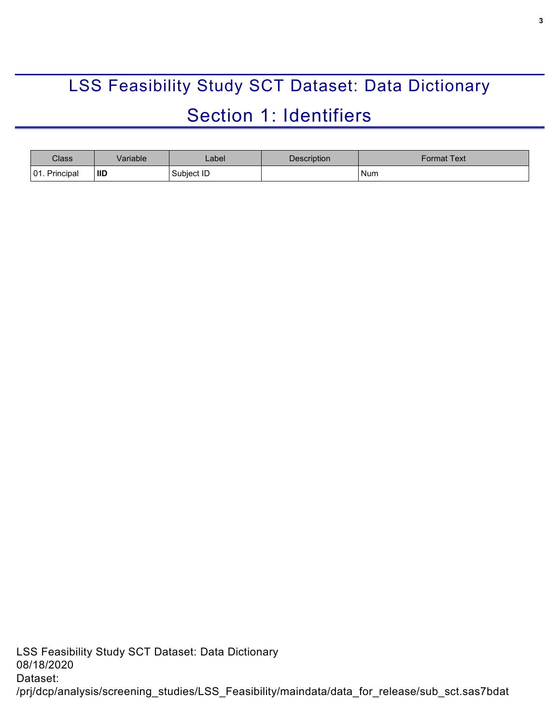# <span id="page-2-0"></span>LSS Feasibility Study SCT Dataset: Data Dictionary Section 1: Identifiers

<span id="page-2-1"></span>

| Class                                  | /ariable   | _abel_     | Description | <sup>∶</sup> ormat Text |
|----------------------------------------|------------|------------|-------------|-------------------------|
| $\bigcap$ 1<br>Principal<br><b>UI.</b> | <b>IID</b> | Subject ID |             | <b>Num</b>              |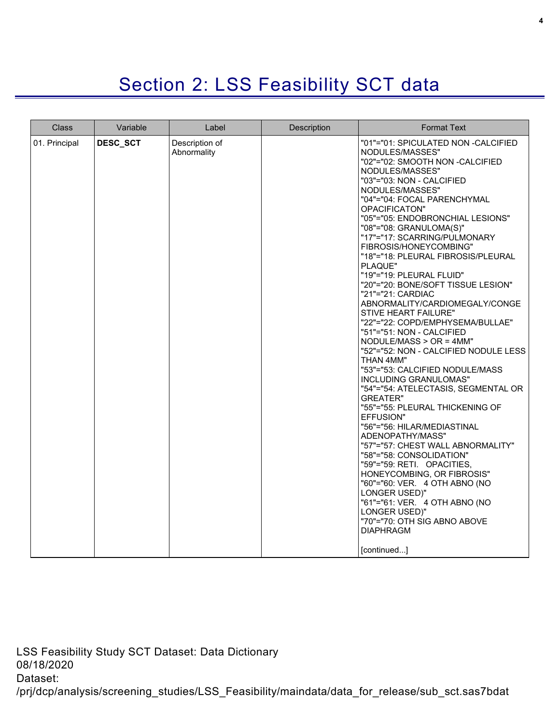## Section 2: LSS Feasibility SCT data

<span id="page-3-0"></span>

| <b>Class</b>  | Variable | Label                         | Description | <b>Format Text</b>                                                                                                                                                                                                                                                                                                                                                                                                                                                                                                                                                                                                                                                                                                                                                                                                                                                                                                                                                                                                                                                                                                                                                                                                              |
|---------------|----------|-------------------------------|-------------|---------------------------------------------------------------------------------------------------------------------------------------------------------------------------------------------------------------------------------------------------------------------------------------------------------------------------------------------------------------------------------------------------------------------------------------------------------------------------------------------------------------------------------------------------------------------------------------------------------------------------------------------------------------------------------------------------------------------------------------------------------------------------------------------------------------------------------------------------------------------------------------------------------------------------------------------------------------------------------------------------------------------------------------------------------------------------------------------------------------------------------------------------------------------------------------------------------------------------------|
| 01. Principal | DESC_SCT | Description of<br>Abnormality |             | "01"="01: SPICULATED NON -CALCIFIED<br>NODULES/MASSES"<br>"02"="02: SMOOTH NON -CALCIFIED<br>NODULES/MASSES"<br>"03"="03: NON - CALCIFIED<br>NODULES/MASSES"<br>"04"="04: FOCAL PARENCHYMAL<br>OPACIFICATON"<br>"05"="05: ENDOBRONCHIAL LESIONS"<br>"08"="08: GRANULOMA(S)"<br>"17"="17: SCARRING/PULMONARY<br>FIBROSIS/HONEYCOMBING"<br>"18"="18: PLEURAL FIBROSIS/PLEURAL<br>PLAQUE"<br>"19"="19: PLEURAL FLUID"<br>"20"="20: BONE/SOFT TISSUE LESION"<br>"21"="21: CARDIAC<br>ABNORMALITY/CARDIOMEGALY/CONGE<br>STIVE HEART FAILURE"<br>"22"="22: COPD/EMPHYSEMA/BULLAE"<br>"51"="51: NON - CALCIFIED<br>$NODULE/MASS > OR = 4MM"$<br>"52"="52: NON - CALCIFIED NODULE LESS<br>THAN 4MM"<br>"53"="53: CALCIFIED NODULE/MASS<br>INCLUDING GRANULOMAS"<br>"54"="54: ATELECTASIS, SEGMENTAL OR<br><b>GREATER"</b><br>"55"="55: PLEURAL THICKENING OF<br><b>EFFUSION"</b><br>"56"="56: HILAR/MEDIASTINAL<br>ADENOPATHY/MASS"<br>"57"="57: CHEST WALL ABNORMALITY"<br>"58"="58: CONSOLIDATION"<br>"59"="59: RETI. OPACITIES,<br>HONEYCOMBING, OR FIBROSIS"<br>"60"="60: VER. 4 OTH ABNO (NO<br>LONGER USED)"<br>"61"="61: VER. 4 OTH ABNO (NO<br>LONGER USED)"<br>"70"="70: OTH SIG ABNO ABOVE<br><b>DIAPHRAGM</b><br>[continued] |

LSS Feasibility Study SCT Dataset: Data Dictionary 08/18/2020 Dataset: /prj/dcp/analysis/screening\_studies/LSS\_Feasibility/maindata/data\_for\_release/sub\_sct.sas7bdat